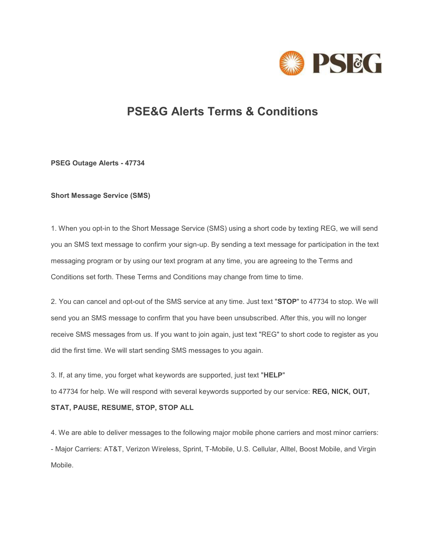

# **PSE&G Alerts Terms & Conditions**

**PSEG Outage Alerts - 47734**

## **Short Message Service (SMS)**

1. When you opt-in to the Short Message Service (SMS) using a short code by texting REG, we will send you an SMS text message to confirm your sign-up. By sending a text message for participation in the text messaging program or by using our text program at any time, you are agreeing to the Terms and Conditions set forth. These Terms and Conditions may change from time to time.

2. You can cancel and opt-out of the SMS service at any time. Just text "**STOP**" to 47734 to stop. We will send you an SMS message to confirm that you have been unsubscribed. After this, you will no longer receive SMS messages from us. If you want to join again, just text "REG" to short code to register as you did the first time. We will start sending SMS messages to you again.

3. If, at any time, you forget what keywords are supported, just text "**HELP**"

to 47734 for help. We will respond with several keywords supported by our service: **REG, NICK, OUT,** 

# **STAT, PAUSE, RESUME, STOP, STOP ALL**

4. We are able to deliver messages to the following major mobile phone carriers and most minor carriers: - Major Carriers: AT&T, Verizon Wireless, Sprint, T-Mobile, U.S. Cellular, Alltel, Boost Mobile, and Virgin Mobile.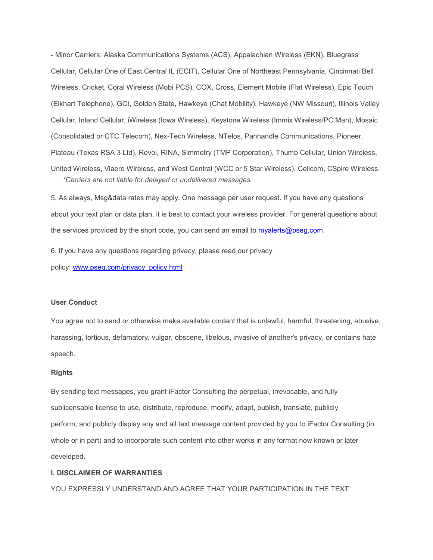- Minor Carriers: Alaska Communications Systems (ACS), Appalachian Wireless (EKN), Bluegrass Cellular, Cellular One of East Central IL (ECIT), Cellular One of Northeast Pennsylvania, Cincinnati Bell Wireless, Cricket, Coral Wireless (Mobi PCS), COX, Cross, Element Mobile (Flat Wireless), Epic Touch (Elkhart Telephone), GCI, Golden State, Hawkeye (Chat Mobility), Hawkeye (NW Missouri), Illinois Valley Cellular, Inland Cellular, iWireless (Iowa Wireless), Keystone Wireless (Immix Wireless/PC Man), Mosaic (Consolidated or CTC Telecom), Nex-Tech Wireless, NTelos, Panhandle Communications, Pioneer, Plateau (Texas RSA 3 Ltd), Revol, RINA, Simmetry (TMP Corporation), Thumb Cellular, Union Wireless, United Wireless, Viaero Wireless, and West Central (WCC or 5 Star Wireless), Cellcom, CSpire Wireless.  *\*Carriers are not liable for delayed or undelivered messages.*

5. As always, Msg&data rates may apply. One message per user request. If you have any questions about your text plan or data plan, it is best to contact your wireless provider. For general questions about the services provided by the short code, you can send an email t[o myalerts@pseg.com.](mailto:myalerts@pseg.com)

6. If you have any questions regarding privacy, please read our privacy policy: [www.pseg.com/privacy\\_policy.html](https://www.pseg.com/privacy_policy.html)

#### **User Conduct**

You agree not to send or otherwise make available content that is unlawful, harmful, threatening, abusive, harassing, tortious, defamatory, vulgar, obscene, libelous, invasive of another's privacy, or contains hate speech.

## **Rights**

By sending text messages, you grant iFactor Consulting the perpetual, irrevocable, and fully sublicensable license to use, distribute, reproduce, modify, adapt, publish, translate, publicly perform, and publicly display any and all text message content provided by you to iFactor Consulting (in whole or in part) and to incorporate such content into other works in any format now known or later developed.

### **I. DISCLAIMER OF WARRANTIES**

YOU EXPRESSLY UNDERSTAND AND AGREE THAT YOUR PARTICIPATION IN THE TEXT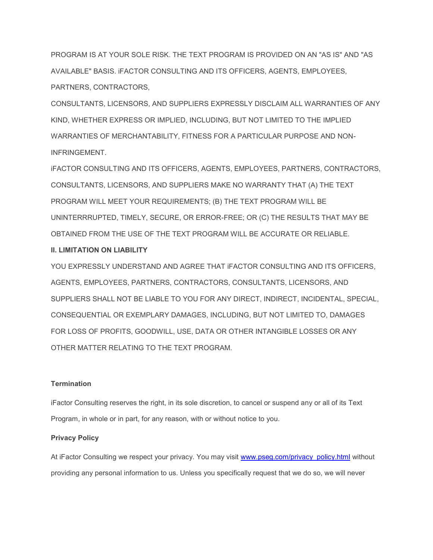PROGRAM IS AT YOUR SOLE RISK. THE TEXT PROGRAM IS PROVIDED ON AN "AS IS" AND "AS AVAILABLE" BASIS. iFACTOR CONSULTING AND ITS OFFICERS, AGENTS, EMPLOYEES, PARTNERS, CONTRACTORS,

CONSULTANTS, LICENSORS, AND SUPPLIERS EXPRESSLY DISCLAIM ALL WARRANTIES OF ANY KIND, WHETHER EXPRESS OR IMPLIED, INCLUDING, BUT NOT LIMITED TO THE IMPLIED WARRANTIES OF MERCHANTABILITY, FITNESS FOR A PARTICULAR PURPOSE AND NON-INFRINGEMENT.

iFACTOR CONSULTING AND ITS OFFICERS, AGENTS, EMPLOYEES, PARTNERS, CONTRACTORS, CONSULTANTS, LICENSORS, AND SUPPLIERS MAKE NO WARRANTY THAT (A) THE TEXT PROGRAM WILL MEET YOUR REQUIREMENTS; (B) THE TEXT PROGRAM WILL BE UNINTERRRUPTED, TIMELY, SECURE, OR ERROR-FREE; OR (C) THE RESULTS THAT MAY BE OBTAINED FROM THE USE OF THE TEXT PROGRAM WILL BE ACCURATE OR RELIABLE.

## **II. LIMITATION ON LIABILITY**

YOU EXPRESSLY UNDERSTAND AND AGREE THAT iFACTOR CONSULTING AND ITS OFFICERS, AGENTS, EMPLOYEES, PARTNERS, CONTRACTORS, CONSULTANTS, LICENSORS, AND SUPPLIERS SHALL NOT BE LIABLE TO YOU FOR ANY DIRECT, INDIRECT, INCIDENTAL, SPECIAL, CONSEQUENTIAL OR EXEMPLARY DAMAGES, INCLUDING, BUT NOT LIMITED TO, DAMAGES FOR LOSS OF PROFITS, GOODWILL, USE, DATA OR OTHER INTANGIBLE LOSSES OR ANY OTHER MATTER RELATING TO THE TEXT PROGRAM.

## **Termination**

iFactor Consulting reserves the right, in its sole discretion, to cancel or suspend any or all of its Text Program, in whole or in part, for any reason, with or without notice to you.

### **Privacy Policy**

At iFactor Consulting we respect your privacy. You may visit www.pseg.com/privacy policy.html without providing any personal information to us. Unless you specifically request that we do so, we will never